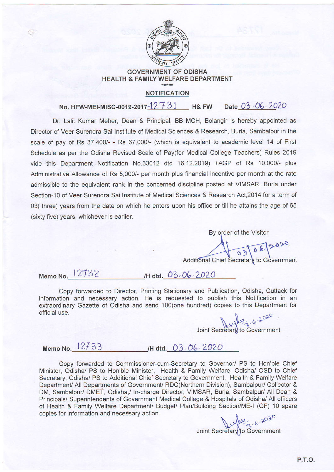

## GOVERNMENT OF ODISHA HEALTH & FAMILY WELFARE DEPARTMENT

## NOTIFICATION

Date 03"06'7020 No. HFW-MEI-MISG-oo1s-2017-1L7 3L H& Fw

Dr. Lalit Kumar Meher, Dean & Principal, BB MCH, Bolangir is hereby appointed as Director of Veer Surendra Sai Institute of Medical Sciences & Research, Burla, Sambalpur in the scale of pay of Rs 37,400/- - Rs 67,000/- (which is equivalent to academic level 14 of First Schedule as per the Odisha Revised Scale of Pay(for Medical College Teachers) Rules 2019 vide this Department Notification No.33012 dtd 16.12.2019) +AGP of Rs 10,000/- plus Administrative Allowance of Rs 5,000/- per month plus financial incentive per month at the rate admissible to the equivalent rank in the concerned discipline posted at VIMSAR, Burla under Section-10 of Veer Surendra Sai Institute of Medical Sciences & Research Act,2O14 for a term of 03( three) years from the date on which he enters upon his office or till he attains the age of 65 (sixty five) years, whichever is earlier.

> By order of the Visitor  $062020$ to

Memo No. 12732 /H dtd. 03.06.2020

Copy forwarded to Director, Printing Stationary and Publication, Odisha, Cuttack for information and necessary action. He is requested to publish this Notification in an extraordinary Gazette of Odisha and send 100(one hundred) copies to this Department for official use.

Joint Secretary to Government

Memo No. 12733 /H dtd. 03.06.2020

Copy forwarded to Commissioner-cum-Secretary to Governor/ PS to Hon'ble Chief Minister, Odisha/ PS to Hon'ble Minister, Health & Family Welfare, Odisha/ OSD to Chief Secretary, Odisha/ PS to Additional Chief Secretary to Government, Health & Family Welfare Department/ All Departments of Government/ RDC(Northern Division), Sambalpur/ Collector & DM, Sambalpur/ DMET, Odisha,/ ln-charge Director, VIMSAR, Burla, Sambalpur/ All Dean & Principals/ Superintendents of Government Medical College & Hospitals of Odisha/ All officers of Health & Family Welfare Department/ Budget/ Plan/Building Section/ME-I (GF) 10 spare copies for information and necessary action.